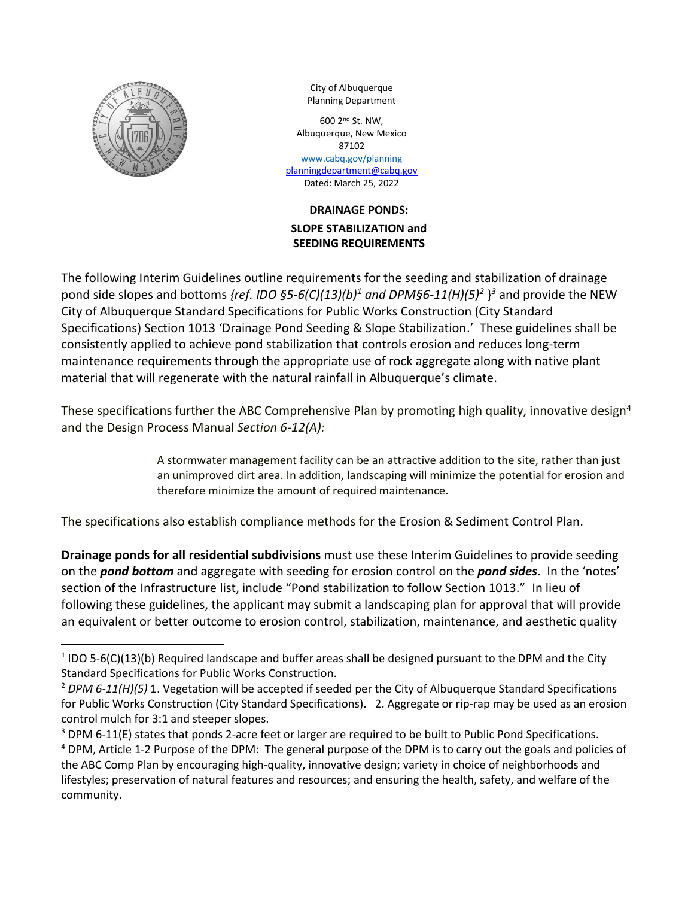

 $\overline{\phantom{a}}$ 

City of Albuquerque Planning Department

600 2 nd St. NW, Albuquerque, New Mexico 87102 [www.cabq.gov/planning](http://www.cabq.gov/planning) [planningdepartment@cabq.gov](mailto:planningdepartment@cabq.gov) Dated: March 25, 2022

# **DRAINAGE PONDS: SLOPE STABILIZATION and SEEDING REQUIREMENTS**

The following Interim Guidelines outline requirements for the seeding and stabilization of drainage pond side slopes and bottoms *{ref. IDO §5-6(C)(13)(b)<sup>1</sup> and DPM§6-11(H)(5)<sup>2</sup>* } *<sup>3</sup>* and provide the NEW City of Albuquerque Standard Specifications for Public Works Construction (City Standard Specifications) Section 1013 'Drainage Pond Seeding & Slope Stabilization.' These guidelines shall be consistently applied to achieve pond stabilization that controls erosion and reduces long-term maintenance requirements through the appropriate use of rock aggregate along with native plant material that will regenerate with the natural rainfall in Albuquerque's climate.

These specifications further the ABC Comprehensive Plan by promoting high quality, innovative design<sup>4</sup> and the Design Process Manual *Section 6-12(A):*

> A stormwater management facility can be an attractive addition to the site, rather than just an unimproved dirt area. In addition, landscaping will minimize the potential for erosion and therefore minimize the amount of required maintenance.

The specifications also establish compliance methods for the Erosion & Sediment Control Plan.

**Drainage ponds for all residential subdivisions** must use these Interim Guidelines to provide seeding on the *pond bottom* and aggregate with seeding for erosion control on the *pond sides*. In the 'notes' section of the Infrastructure list, include "Pond stabilization to follow Section 1013." In lieu of following these guidelines, the applicant may submit a landscaping plan for approval that will provide an equivalent or better outcome to erosion control, stabilization, maintenance, and aesthetic quality

 $1$  IDO 5-6(C)(13)(b) Required landscape and buffer areas shall be designed pursuant to the DPM and the City Standard Specifications for Public Works Construction.

<sup>2</sup> *DPM 6-11(H)(5)* 1. Vegetation will be accepted if seeded per the City of Albuquerque Standard Specifications for Public Works Construction (City Standard Specifications). 2. Aggregate or rip-rap may be used as an erosion control mulch for 3:1 and steeper slopes.

 $3$  DPM 6-11(E) states that ponds 2-acre feet or larger are required to be built to Public Pond Specifications. <sup>4</sup> DPM, Article 1-2 Purpose of the DPM: The general purpose of the DPM is to carry out the goals and policies of the ABC Comp Plan by encouraging high-quality, innovative design; variety in choice of neighborhoods and lifestyles; preservation of natural features and resources; and ensuring the health, safety, and welfare of the community.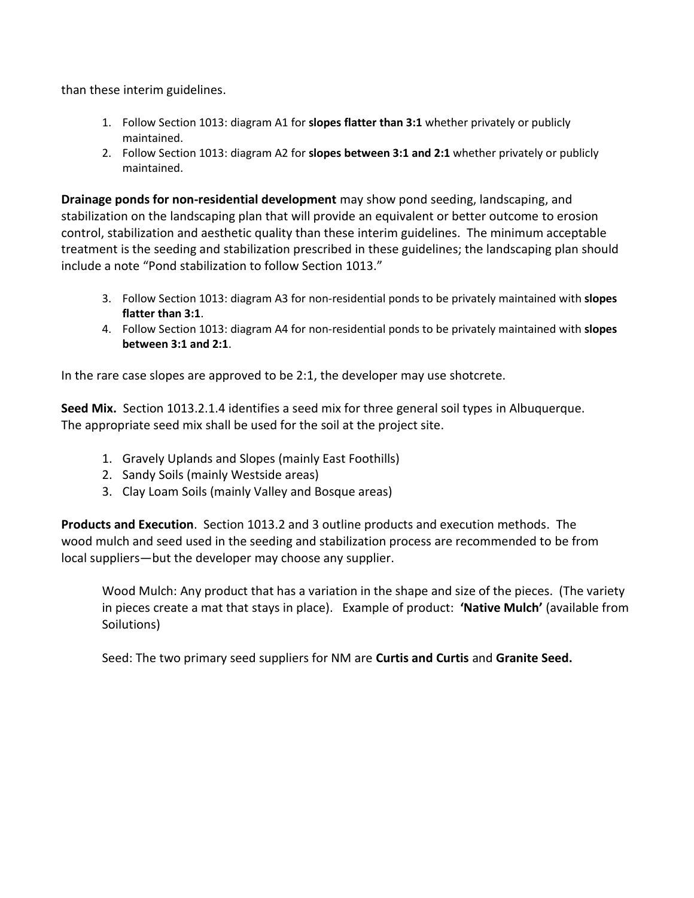than these interim guidelines.

- 1. Follow Section 1013: diagram A1 for **slopes flatter than 3:1** whether privately or publicly maintained.
- 2. Follow Section 1013: diagram A2 for **slopes between 3:1 and 2:1** whether privately or publicly maintained.

**Drainage ponds for non-residential development** may show pond seeding, landscaping, and stabilization on the landscaping plan that will provide an equivalent or better outcome to erosion control, stabilization and aesthetic quality than these interim guidelines. The minimum acceptable treatment is the seeding and stabilization prescribed in these guidelines; the landscaping plan should include a note "Pond stabilization to follow Section 1013."

- 3. Follow Section 1013: diagram A3 for non-residential ponds to be privately maintained with **slopes flatter than 3:1**.
- 4. Follow Section 1013: diagram A4 for non-residential ponds to be privately maintained with **slopes between 3:1 and 2:1**.

In the rare case slopes are approved to be 2:1, the developer may use shotcrete.

**Seed Mix.** Section 1013.2.1.4 identifies a seed mix for three general soil types in Albuquerque. The appropriate seed mix shall be used for the soil at the project site.

- 1. Gravely Uplands and Slopes (mainly East Foothills)
- 2. Sandy Soils (mainly Westside areas)
- 3. Clay Loam Soils (mainly Valley and Bosque areas)

**Products and Execution**. Section 1013.2 and 3 outline products and execution methods. The wood mulch and seed used in the seeding and stabilization process are recommended to be from local suppliers—but the developer may choose any supplier.

Wood Mulch: Any product that has a variation in the shape and size of the pieces. (The variety in pieces create a mat that stays in place). Example of product: **'Native Mulch'** (available from Soilutions)

Seed: The two primary seed suppliers for NM are **Curtis and Curtis** and **Granite Seed.**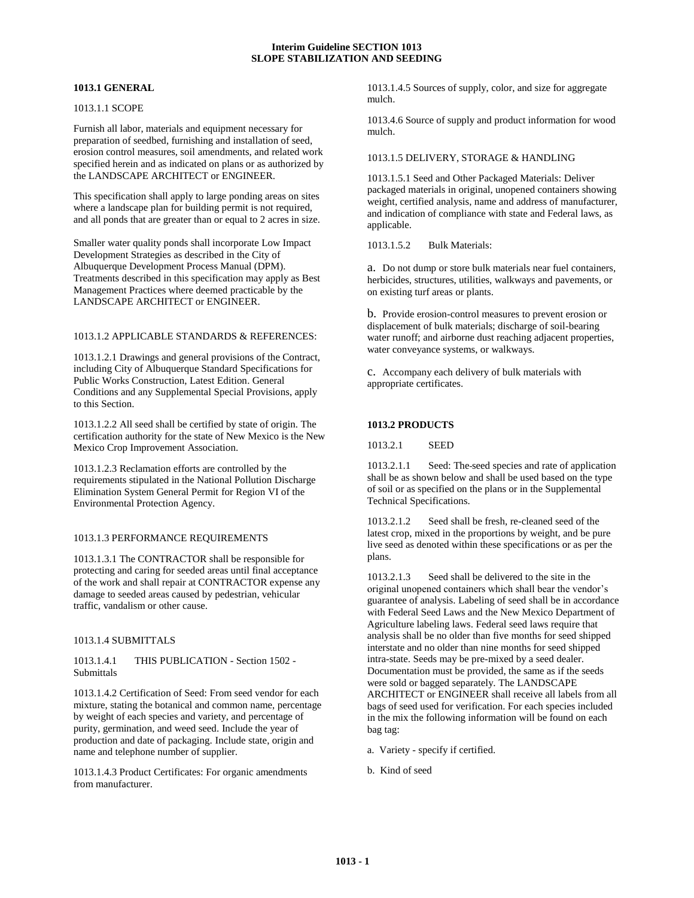## **1013.1 GENERAL**

## 1013.1.1 SCOPE

Furnish all labor, materials and equipment necessary for preparation of seedbed, furnishing and installation of seed, erosion control measures, soil amendments, and related work specified herein and as indicated on plans or as authorized by the LANDSCAPE ARCHITECT or ENGINEER.

This specification shall apply to large ponding areas on sites where a landscape plan for building permit is not required, and all ponds that are greater than or equal to 2 acres in size.

Smaller water quality ponds shall incorporate Low Impact Development Strategies as described in the City of Albuquerque Development Process Manual (DPM). Treatments described in this specification may apply as Best Management Practices where deemed practicable by the LANDSCAPE ARCHITECT or ENGINEER.

# 1013.1.2 APPLICABLE STANDARDS & REFERENCES:

1013.1.2.1 Drawings and general provisions of the Contract, including City of Albuquerque Standard Specifications for Public Works Construction, Latest Edition. General Conditions and any Supplemental Special Provisions, apply to this Section.

1013.1.2.2 All seed shall be certified by state of origin. The certification authority for the state of New Mexico is the New Mexico Crop Improvement Association.

1013.1.2.3 Reclamation efforts are controlled by the requirements stipulated in the National Pollution Discharge Elimination System General Permit for Region VI of the Environmental Protection Agency.

## 1013.1.3 PERFORMANCE REQUIREMENTS

1013.1.3.1 The CONTRACTOR shall be responsible for protecting and caring for seeded areas until final acceptance of the work and shall repair at CONTRACTOR expense any damage to seeded areas caused by pedestrian, vehicular traffic, vandalism or other cause.

#### 1013.1.4 SUBMITTALS

1013.1.4.1 THIS PUBLICATION - Section 1502 - **Submittals** 

1013.1.4.2 Certification of Seed: From seed vendor for each mixture, stating the botanical and common name, percentage by weight of each species and variety, and percentage of purity, germination, and weed seed. Include the year of production and date of packaging. Include state, origin and name and telephone number of supplier.

1013.1.4.3 Product Certificates: For organic amendments from manufacturer.

1013.1.4.5 Sources of supply, color, and size for aggregate mulch.

1013.4.6 Source of supply and product information for wood mulch.

#### 1013.1.5 DELIVERY, STORAGE & HANDLING

1013.1.5.1 Seed and Other Packaged Materials: Deliver packaged materials in original, unopened containers showing weight, certified analysis, name and address of manufacturer, and indication of compliance with state and Federal laws, as applicable.

1013.1.5.2 Bulk Materials:

a. Do not dump or store bulk materials near fuel containers, herbicides, structures, utilities, walkways and pavements, or on existing turf areas or plants.

b. Provide erosion-control measures to prevent erosion or displacement of bulk materials; discharge of soil-bearing water runoff; and airborne dust reaching adjacent properties, water conveyance systems, or walkways.

c. Accompany each delivery of bulk materials with appropriate certificates.

## **1013.2 PRODUCTS**

1013.2.1 SEED

1013.2.1.1 Seed: The seed species and rate of application shall be as shown below and shall be used based on the type of soil or as specified on the plans or in the Supplemental Technical Specifications.

1013.2.1.2 Seed shall be fresh, re-cleaned seed of the latest crop, mixed in the proportions by weight, and be pure live seed as denoted within these specifications or as per the plans.

1013.2.1.3 Seed shall be delivered to the site in the original unopened containers which shall bear the vendor's guarantee of analysis. Labeling of seed shall be in accordance with Federal Seed Laws and the New Mexico Department of Agriculture labeling laws. Federal seed laws require that analysis shall be no older than five months for seed shipped interstate and no older than nine months for seed shipped intra-state. Seeds may be pre-mixed by a seed dealer. Documentation must be provided, the same as if the seeds were sold or bagged separately. The LANDSCAPE ARCHITECT or ENGINEER shall receive all labels from all bags of seed used for verification. For each species included in the mix the following information will be found on each bag tag:

- a. Variety specify if certified.
- b. Kind of seed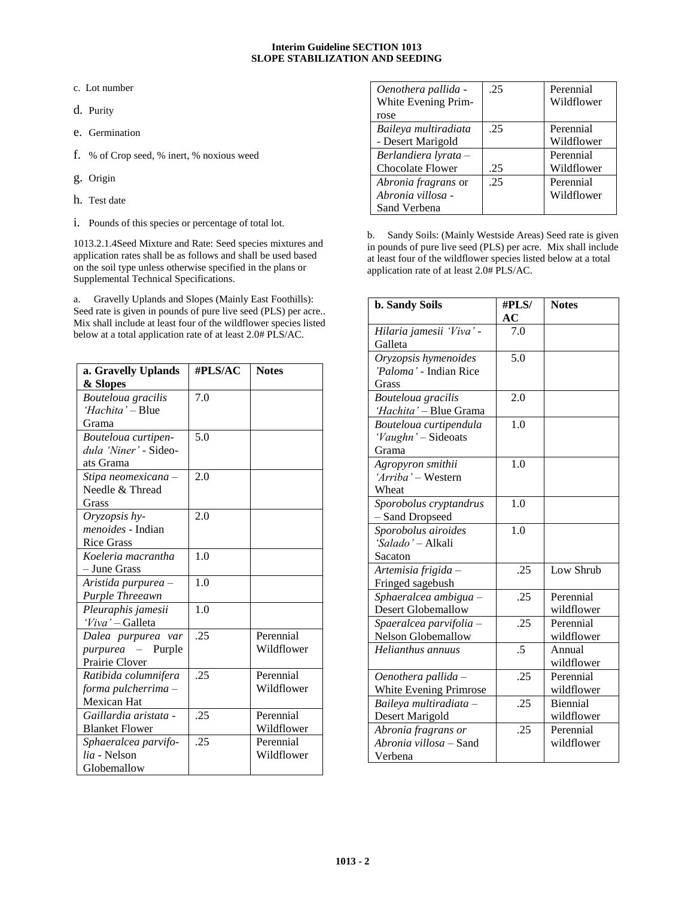c. Lot number

d. Purity

- e. Germination
- f. % of Crop seed, % inert, % noxious weed
- g. Origin
- h. Test date
- i. Pounds of this species or percentage of total lot.

1013.2.1.4Seed Mixture and Rate: Seed species mixtures and application rates shall be as follows and shall be used based on the soil type unless otherwise specified in the plans or Supplemental Technical Specifications.

a. Gravelly Uplands and Slopes (Mainly East Foothills): Seed rate is given in pounds of pure live seed (PLS) per acre.. Mix shall include at least four of the wildflower species listed below at a total application rate of at least 2.0# PLS/AC.

| a. Gravelly Uplands      | #PLS/AC | <b>Notes</b> |
|--------------------------|---------|--------------|
| & Slopes                 |         |              |
| Bouteloua gracilis       | 7.0     |              |
| 'Hachita' - Blue         |         |              |
| Grama                    |         |              |
| Bouteloua curtipen-      | 5.0     |              |
| dula 'Niner' - Sideo-    |         |              |
| ats Grama                |         |              |
| Stipa neomexicana –      | 2.0     |              |
| Needle & Thread          |         |              |
| Grass                    |         |              |
| Oryzopsis hy-            | 2.0     |              |
| <i>menoides</i> - Indian |         |              |
| <b>Rice Grass</b>        |         |              |
| Koeleria macrantha       | 1.0     |              |
| - June Grass             |         |              |
| Aristida purpurea -      | 1.0     |              |
| Purple Threeawn          |         |              |
| Pleuraphis jamesii       | 1.0     |              |
| 'Viva' - Galleta         |         |              |
| Dalea purpurea var       | .25     | Perennial    |
| purpurea –<br>Purple     |         | Wildflower   |
| Prairie Clover           |         |              |
| Ratibida columnifera     | .25     | Perennial    |
| forma pulcherrima -      |         | Wildflower   |
| Mexican Hat              |         |              |
| Gaillardia aristata -    | .25     | Perennial    |
| <b>Blanket Flower</b>    |         | Wildflower   |
| Sphaeralcea parvifo-     | .25     | Perennial    |
| <i>lia</i> - Nelson      |         | Wildflower   |
| Globemallow              |         |              |

| Oenothera pallida -<br>White Evening Prim-               | .25 | Perennial<br>Wildflower |
|----------------------------------------------------------|-----|-------------------------|
| rose                                                     |     |                         |
| Baileya multiradiata<br>- Desert Marigold                | .25 | Perennial<br>Wildflower |
| Berlandiera lyrata -<br><b>Chocolate Flower</b>          | .25 | Perennial<br>Wildflower |
| Abronia fragrans or<br>Abronia villosa -<br>Sand Verbena | .25 | Perennial<br>Wildflower |

b. Sandy Soils: (Mainly Westside Areas) Seed rate is given in pounds of pure live seed (PLS) per acre. Mix shall include at least four of the wildflower species listed below at a total application rate of at least 2.0# PLS/AC.

| <b>b. Sandy Soils</b>                          | #PLS/<br>AC    | <b>Notes</b>    |
|------------------------------------------------|----------------|-----------------|
| Hilaria jamesii 'Viva' -                       | 7.0            |                 |
| Galleta                                        |                |                 |
|                                                | 5.0            |                 |
| Oryzopsis hymenoides<br>'Paloma' - Indian Rice |                |                 |
|                                                |                |                 |
| Grass                                          | 2.0            |                 |
| Bouteloua gracilis                             |                |                 |
| 'Hachita' - Blue Grama                         |                |                 |
| Bouteloua curtipendula                         | 1.0            |                 |
| 'Vaughn' - Sideoats                            |                |                 |
| Grama                                          |                |                 |
| Agropyron smithii                              | 1.0            |                 |
| 'Arriba' – Western                             |                |                 |
| Wheat                                          |                |                 |
| Sporobolus cryptandrus                         | 1.0            |                 |
| - Sand Dropseed                                |                |                 |
| Sporobolus airoides                            | 1.0            |                 |
| 'Salado' - Alkali                              |                |                 |
| Sacaton                                        |                |                 |
| Artemisia frigida -                            | .25            | Low Shrub       |
| Fringed sagebush                               |                |                 |
| Sphaeralcea ambigua -                          | .25            | Perennial       |
| <b>Desert Globemallow</b>                      |                | wildflower      |
| Spaeralcea parvifolia -                        | .25            | Perennial       |
| <b>Nelson Globemallow</b>                      |                | wildflower      |
| Helianthus annuus                              | $\overline{5}$ | Annual          |
|                                                |                | wildflower      |
| Oenothera pallida -                            | .25            | Perennial       |
| White Evening Primrose                         |                | wildflower      |
| Baileya multiradiata -                         | .25            | <b>Biennial</b> |
| Desert Marigold                                |                | wildflower      |
| Abronia fragrans or                            | .25            | Perennial       |
| Abronia villosa – Sand                         |                | wildflower      |
| Verbena                                        |                |                 |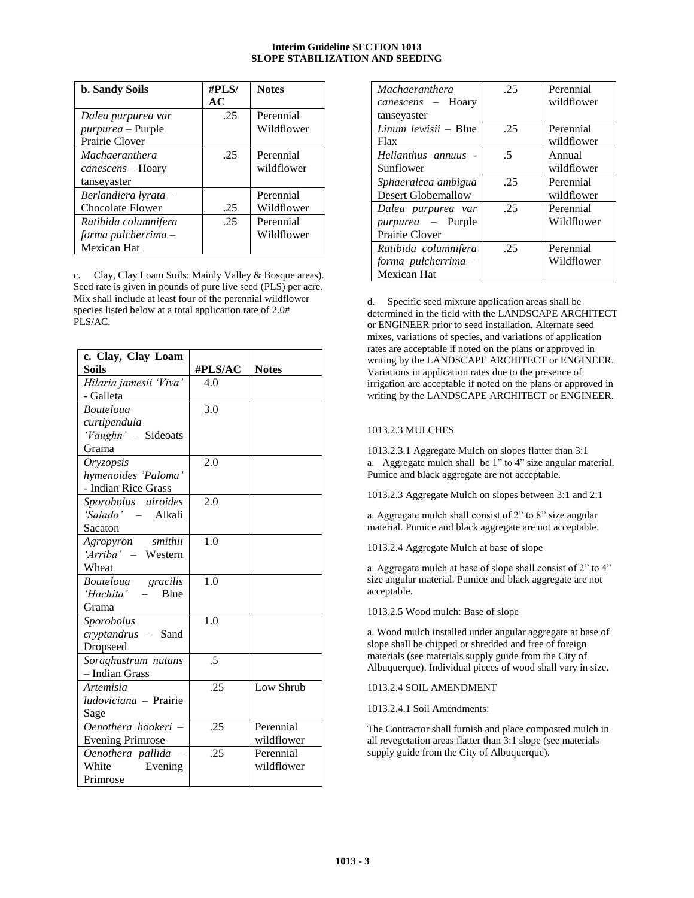| <b>b. Sandy Soils</b>    | #PLS/ | <b>Notes</b> |
|--------------------------|-------|--------------|
|                          | AC    |              |
| Dalea purpurea var       | .25   | Perennial    |
| <i>purpurea</i> – Purple |       | Wildflower   |
| Prairie Clover           |       |              |
| <i>Machaeranthera</i>    | .25   | Perennial    |
| canescens – Hoary        |       | wildflower   |
| tanseyaster              |       |              |
| Berlandiera lyrata –     |       | Perennial    |
| Chocolate Flower         | .25   | Wildflower   |
| Ratibida columnifera     | .25   | Perennial    |
| forma pulcherrima $-$    |       | Wildflower   |
| Mexican Hat              |       |              |

c. Clay, Clay Loam Soils: Mainly Valley & Bosque areas). Seed rate is given in pounds of pure live seed (PLS) per acre. Mix shall include at least four of the perennial wildflower species listed below at a total application rate of 2.0# PLS/AC.

| c. Clay, Clay Loam           |            |              |
|------------------------------|------------|--------------|
| <b>Soils</b>                 | #PLS/AC    | <b>Notes</b> |
| Hilaria jamesii 'Viva'       | 4.0        |              |
| - Galleta                    |            |              |
| <b>Bouteloua</b>             | 3.0        |              |
| curtipendula                 |            |              |
| 'Vaughn' - Sideoats          |            |              |
| Grama                        |            |              |
| Oryzopsis                    | 2.0        |              |
| hymenoides 'Paloma'          |            |              |
| - Indian Rice Grass          |            |              |
| Sporobolus airoides          | 2.0        |              |
| 'Salado' - Alkali            |            |              |
| Sacaton                      |            |              |
| Agropyron smithii            | 1.0        |              |
| 'Arriba' - Western           |            |              |
| Wheat                        |            |              |
| Bouteloua gracilis           | 1.0        |              |
| 'Hachita' - Blue             |            |              |
| Grama                        |            |              |
| Sporobolus                   | 1.0        |              |
| cryptandrus - Sand           |            |              |
| Dropseed                     |            |              |
| Soraghastrum nutans          | $\sqrt{2}$ |              |
| - Indian Grass               |            |              |
| <i>Artemisia</i>             | .25        | Low Shrub    |
| <i>ludoviciana</i> – Prairie |            |              |
| Sage                         |            |              |
| Oenothera hookeri -          | .25        | Perennial    |
| <b>Evening Primrose</b>      |            | wildflower   |
| Oenothera pallida -          | .25        | Perennial    |
| White<br>Evening             |            | wildflower   |
| Primrose                     |            |              |

| <i>Machaeranthera</i>            | .25 | Perennial<br>wildflower |
|----------------------------------|-----|-------------------------|
| canescens – Hoary<br>tanseyaster |     |                         |
| $Linum$ lewisii - Blue           | .25 | Perennial               |
| Flax                             |     | wildflower              |
| Helianthus annuus                | .5  | Annual                  |
| Sunflower                        |     | wildflower              |
| Sphaeralcea ambigua              | .25 | Perennial               |
| <b>Desert Globemallow</b>        |     | wildflower              |
| Dalea purpurea var               | .25 | Perennial               |
| <i>purpurea</i> – Purple         |     | Wildflower              |
| Prairie Clover                   |     |                         |
| Ratibida columnifera             | .25 | Perennial               |
| forma pulcherrima -              |     | Wildflower              |
| <b>Mexican Hat</b>               |     |                         |

d. Specific seed mixture application areas shall be determined in the field with the LANDSCAPE ARCHITECT or ENGINEER prior to seed installation. Alternate seed mixes, variations of species, and variations of application rates are acceptable if noted on the plans or approved in writing by the LANDSCAPE ARCHITECT or ENGINEER. Variations in application rates due to the presence of irrigation are acceptable if noted on the plans or approved in writing by the LANDSCAPE ARCHITECT or ENGINEER.

# 1013.2.3 MULCHES

1013.2.3.1 Aggregate Mulch on slopes flatter than 3:1 a. Aggregate mulch shall be 1" to 4" size angular material. Pumice and black aggregate are not acceptable.

1013.2.3 Aggregate Mulch on slopes between 3:1 and 2:1

a. Aggregate mulch shall consist of 2" to 8" size angular material. Pumice and black aggregate are not acceptable.

1013.2.4 Aggregate Mulch at base of slope

a. Aggregate mulch at base of slope shall consist of 2" to 4" size angular material. Pumice and black aggregate are not acceptable.

1013.2.5 Wood mulch: Base of slope

a. Wood mulch installed under angular aggregate at base of slope shall be chipped or shredded and free of foreign materials (see materials supply guide from the City of Albuquerque). Individual pieces of wood shall vary in size.

1013.2.4 SOIL AMENDMENT

1013.2.4.1 Soil Amendments:

The Contractor shall furnish and place composted mulch in all revegetation areas flatter than 3:1 slope (see materials supply guide from the City of Albuquerque).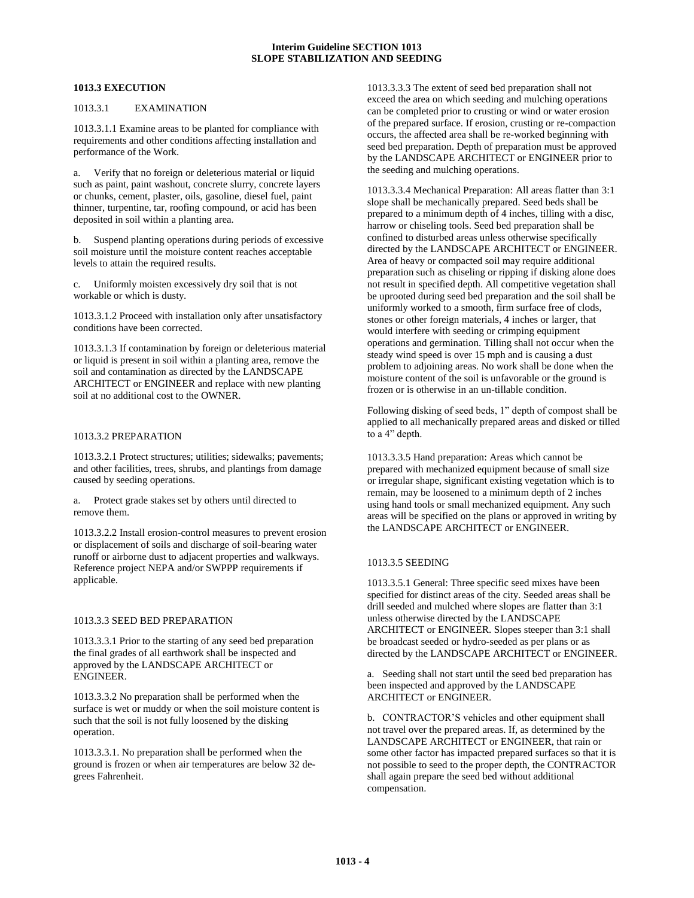#### **1013.3 EXECUTION**

#### 1013.3.1 EXAMINATION

1013.3.1.1 Examine areas to be planted for compliance with requirements and other conditions affecting installation and performance of the Work.

a. Verify that no foreign or deleterious material or liquid such as paint, paint washout, concrete slurry, concrete layers or chunks, cement, plaster, oils, gasoline, diesel fuel, paint thinner, turpentine, tar, roofing compound, or acid has been deposited in soil within a planting area.

b. Suspend planting operations during periods of excessive soil moisture until the moisture content reaches acceptable levels to attain the required results.

c. Uniformly moisten excessively dry soil that is not workable or which is dusty.

1013.3.1.2 Proceed with installation only after unsatisfactory conditions have been corrected.

1013.3.1.3 If contamination by foreign or deleterious material or liquid is present in soil within a planting area, remove the soil and contamination as directed by the LANDSCAPE ARCHITECT or ENGINEER and replace with new planting soil at no additional cost to the OWNER.

#### 1013.3.2 PREPARATION

1013.3.2.1 Protect structures; utilities; sidewalks; pavements; and other facilities, trees, shrubs, and plantings from damage caused by seeding operations.

a. Protect grade stakes set by others until directed to remove them.

1013.3.2.2 Install erosion-control measures to prevent erosion or displacement of soils and discharge of soil-bearing water runoff or airborne dust to adjacent properties and walkways. Reference project NEPA and/or SWPPP requirements if applicable.

#### <span id="page-5-0"></span>1013.3.3 SEED BED PREPARATION

1013.3.3.1 Prior to the starting of any seed bed preparation the final grades of all earthwork shall be inspected and approved by the LANDSCAPE ARCHITECT or ENGINEER.

1013.3.3.2 No preparation shall be performed when the surface is wet or muddy or when the soil moisture content is such that the soil is not fully loosened by the disking operation.

1013.3.3.1. No preparation shall be performed when the ground is frozen or when air temperatures are below 32 degrees Fahrenheit.

1013.3.3.3 The extent of seed bed preparation shall not exceed the area on which seeding and mulching operations can be completed prior to crusting or wind or water erosion of the prepared surface. If erosion, crusting or re-compaction occurs, the affected area shall be re-worked beginning with seed bed preparation. Depth of preparation must be approved by the LANDSCAPE ARCHITECT or ENGINEER prior to the seeding and mulching operations.

<span id="page-5-1"></span>1013.3.3.4 Mechanical Preparation: All areas flatter than 3:1 slope shall be mechanically prepared. Seed beds shall be prepared to a minimum depth of 4 inches, tilling with a disc, harrow or chiseling tools. Seed bed preparation shall be confined to disturbed areas unless otherwise specifically directed by the LANDSCAPE ARCHITECT or ENGINEER. Area of heavy or compacted soil may require additional preparation such as chiseling or ripping if disking alone does not result in specified depth. All competitive vegetation shall be uprooted during seed bed preparation and the soil shall be uniformly worked to a smooth, firm surface free of clods, stones or other foreign materials, 4 inches or larger, that would interfere with seeding or crimping equipment operations and germination. Tilling shall not occur when the steady wind speed is over 15 mph and is causing a dust problem to adjoining areas. No work shall be done when the moisture content of the soil is unfavorable or the ground is frozen or is otherwise in an un-tillable condition.

Following disking of seed beds, 1" depth of compost shall be applied to all mechanically prepared areas and disked or tilled to a 4" depth.

1013.3.3.5 Hand preparation: Areas which cannot be prepared with mechanized equipment because of small size or irregular shape, significant existing vegetation which is to remain, may be loosened to a minimum depth of 2 inches using hand tools or small mechanized equipment. Any such areas will be specified on the plans or approved in writing by the LANDSCAPE ARCHITECT or ENGINEER.

## 1013.3.5 SEEDING

1013.3.5.1 General: Three specific seed mixes have been specified for distinct areas of the city. Seeded areas shall be drill seeded and mulched where slopes are flatter than 3:1 unless otherwise directed by the LANDSCAPE ARCHITECT or ENGINEER. Slopes steeper than 3:1 shall be broadcast seeded or hydro-seeded as per plans or as directed by the LANDSCAPE ARCHITECT or ENGINEER.

a. Seeding shall not start until the seed bed preparation has been inspected and approved by the LANDSCAPE ARCHITECT or ENGINEER.

b. CONTRACTOR'S vehicles and other equipment shall not travel over the prepared areas. If, as determined by the LANDSCAPE ARCHITECT or ENGINEER, that rain or some other factor has impacted prepared surfaces so that it is not possible to seed to the proper depth, the CONTRACTOR shall again prepare the seed bed without additional compensation.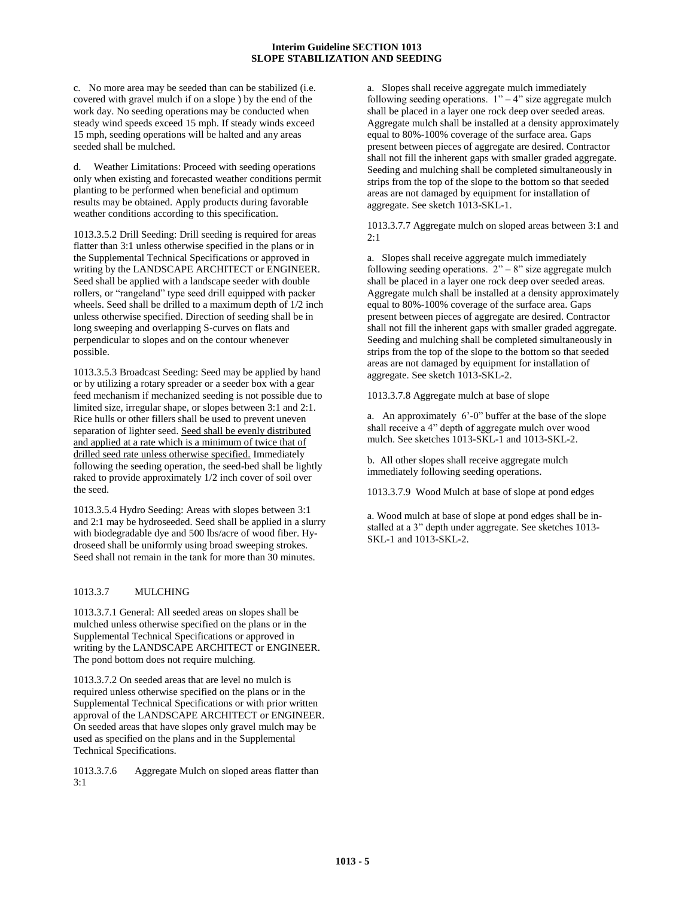c. No more area may be seeded than can be stabilized (i.e. covered with gravel mulch if on a slope ) by the end of the work day. No seeding operations may be conducted when steady wind speeds exceed 15 mph. If steady winds exceed 15 mph, seeding operations will be halted and any areas seeded shall be mulched.

Weather Limitations: Proceed with seeding operations only when existing and forecasted weather conditions permit planting to be performed when beneficial and optimum results may be obtained. Apply products during favorable weather conditions according to this specification.

<span id="page-6-0"></span>1013.3.5.2 Drill Seeding: Drill seeding is required for areas flatter than 3:1 unless otherwise specified in the plans or in the Supplemental Technical Specifications or approved in writing by the LANDSCAPE ARCHITECT or ENGINEER. Seed shall be applied with a landscape seeder with double rollers, or "rangeland" type seed drill equipped with packer wheels. Seed shall be drilled to a maximum depth of 1/2 inch unless otherwise specified. Direction of seeding shall be in long sweeping and overlapping S-curves on flats and perpendicular to slopes and on the contour whenever possible.

<span id="page-6-1"></span>1013.3.5.3 Broadcast Seeding: Seed may be applied by hand or by utilizing a rotary spreader or a seeder box with a gear feed mechanism if mechanized seeding is not possible due to limited size, irregular shape, or slopes between 3:1 and 2:1. Rice hulls or other fillers shall be used to prevent uneven separation of lighter seed. Seed shall be evenly distributed and applied at a rate which is a minimum of twice that of drilled seed rate unless otherwise specified. Immediately following the seeding operation, the seed-bed shall be lightly raked to provide approximately 1/2 inch cover of soil over the seed.

<span id="page-6-2"></span>1013.3.5.4 Hydro Seeding: Areas with slopes between 3:1 and 2:1 may be hydroseeded. Seed shall be applied in a slurry with biodegradable dye and 500 lbs/acre of wood fiber. Hydroseed shall be uniformly using broad sweeping strokes. Seed shall not remain in the tank for more than 30 minutes.

# 1013.3.7 MULCHING

1013.3.7.1 General: All seeded areas on slopes shall be mulched unless otherwise specified on the plans or in the Supplemental Technical Specifications or approved in writing by the LANDSCAPE ARCHITECT or ENGINEER. The pond bottom does not require mulching.

1013.3.7.2 On seeded areas that are level no mulch is required unless otherwise specified on the plans or in the Supplemental Technical Specifications or with prior written approval of the LANDSCAPE ARCHITECT or ENGINEER. On seeded areas that have slopes only gravel mulch may be used as specified on the plans and in the Supplemental Technical Specifications.

<span id="page-6-4"></span>1013.3.7.6 Aggregate Mulch on sloped areas flatter than 3:1

a. Slopes shall receive aggregate mulch immediately following seeding operations.  $1" - 4"$  size aggregate mulch shall be placed in a layer one rock deep over seeded areas. Aggregate mulch shall be installed at a density approximately equal to 80%-100% coverage of the surface area. Gaps present between pieces of aggregate are desired. Contractor shall not fill the inherent gaps with smaller graded aggregate. Seeding and mulching shall be completed simultaneously in strips from the top of the slope to the bottom so that seeded areas are not damaged by equipment for installation of aggregate. See sketch 1013-SKL-1.

<span id="page-6-5"></span>1013.3.7.7 Aggregate mulch on sloped areas between 3:1 and  $2:1$ 

a. Slopes shall receive aggregate mulch immediately following seeding operations.  $2^{\prime\prime} - 8^{\prime\prime}$  size aggregate mulch shall be placed in a layer one rock deep over seeded areas. Aggregate mulch shall be installed at a density approximately equal to 80%-100% coverage of the surface area. Gaps present between pieces of aggregate are desired. Contractor shall not fill the inherent gaps with smaller graded aggregate. Seeding and mulching shall be completed simultaneously in strips from the top of the slope to the bottom so that seeded areas are not damaged by equipment for installation of aggregate. See sketch 1013-SKL-2.

1013.3.7.8 Aggregate mulch at base of slope

a. An approximately 6'-0" buffer at the base of the slope shall receive a 4" depth of aggregate mulch over wood mulch. See sketches 1013-SKL-1 and 1013-SKL-2.

b. All other slopes shall receive aggregate mulch immediately following seeding operations.

<span id="page-6-3"></span>1013.3.7.9 Wood Mulch at base of slope at pond edges

a. Wood mulch at base of slope at pond edges shall be installed at a 3" depth under aggregate. See sketches 1013- SKL-1 and 1013-SKL-2.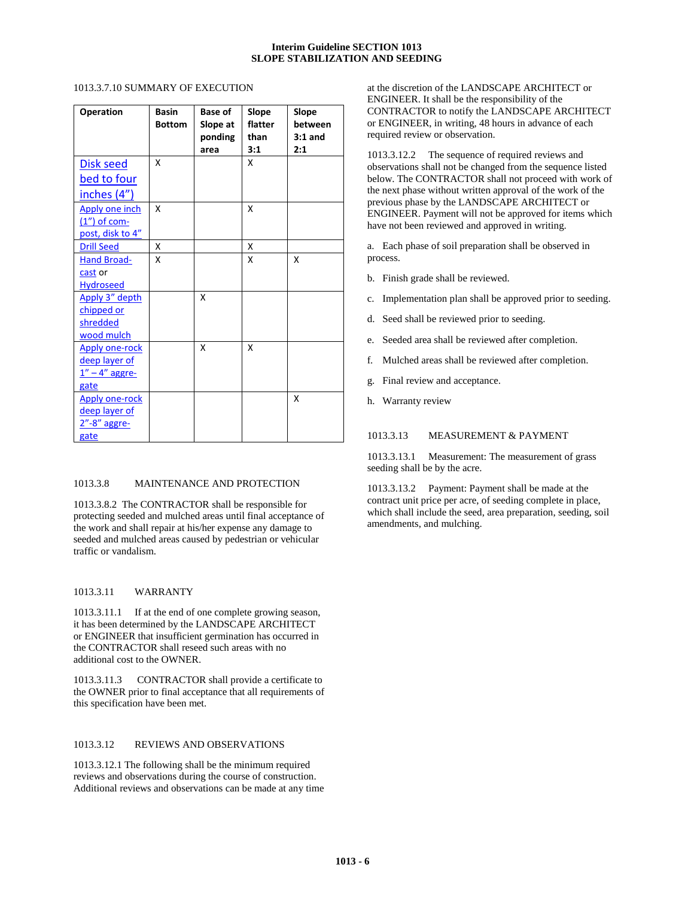# 1013.3.7.10 SUMMARY OF EXECUTION

| <b>Operation</b>                                                     | <b>Basin</b><br><b>Bottom</b> | <b>Base of</b><br>Slope at<br>ponding<br>area | Slope<br>flatter<br>than<br>3:1 | Slope<br>between<br>$3:1$ and<br>2:1 |
|----------------------------------------------------------------------|-------------------------------|-----------------------------------------------|---------------------------------|--------------------------------------|
| Disk seed<br><u>bed to four</u><br><u>inches</u> (4")                | x                             |                                               | x                               |                                      |
| Apply one inch<br>$(1'')$ of com-<br>post, disk to 4"                | x                             |                                               | x                               |                                      |
| <b>Drill Seed</b>                                                    | x                             |                                               | X                               |                                      |
| <b>Hand Broad-</b><br>cast or<br><b>Hydroseed</b><br>Apply 3" depth  | x                             | x                                             | x                               | x                                    |
| chipped or<br>shredded<br>wood mulch                                 |                               |                                               |                                 |                                      |
| <b>Apply one-rock</b><br>deep layer of<br>$1'' - 4''$ aggre-<br>gate |                               | X                                             | x                               |                                      |
| <b>Apply one-rock</b><br>deep layer of<br>2"-8" aggre-<br>gate       |                               |                                               |                                 | x                                    |

## 1013.3.8 MAINTENANCE AND PROTECTION

1013.3.8.2 The CONTRACTOR shall be responsible for protecting seeded and mulched areas until final acceptance of the work and shall repair at his/her expense any damage to seeded and mulched areas caused by pedestrian or vehicular traffic or vandalism.

# 1013.3.11 WARRANTY

1013.3.11.1 If at the end of one complete growing season, it has been determined by the LANDSCAPE ARCHITECT or ENGINEER that insufficient germination has occurred in the CONTRACTOR shall reseed such areas with no additional cost to the OWNER.

1013.3.11.3 CONTRACTOR shall provide a certificate to the OWNER prior to final acceptance that all requirements of this specification have been met.

#### 1013.3.12 REVIEWS AND OBSERVATIONS

1013.3.12.1 The following shall be the minimum required reviews and observations during the course of construction. Additional reviews and observations can be made at any time

at the discretion of the LANDSCAPE ARCHITECT or ENGINEER. It shall be the responsibility of the CONTRACTOR to notify the LANDSCAPE ARCHITECT or ENGINEER, in writing, 48 hours in advance of each required review or observation.

1013.3.12.2 The sequence of required reviews and observations shall not be changed from the sequence listed below. The CONTRACTOR shall not proceed with work of the next phase without written approval of the work of the previous phase by the LANDSCAPE ARCHITECT or ENGINEER. Payment will not be approved for items which have not been reviewed and approved in writing.

a. Each phase of soil preparation shall be observed in process.

- b. Finish grade shall be reviewed.
- c. Implementation plan shall be approved prior to seeding.
- d. Seed shall be reviewed prior to seeding.
- e. Seeded area shall be reviewed after completion.
- f. Mulched areas shall be reviewed after completion.
- g. Final review and acceptance.
- h. Warranty review

#### 1013.3.13 MEASUREMENT & PAYMENT

1013.3.13.1 Measurement: The measurement of grass seeding shall be by the acre.

1013.3.13.2 Payment: Payment shall be made at the contract unit price per acre, of seeding complete in place, which shall include the seed, area preparation, seeding, soil amendments, and mulching.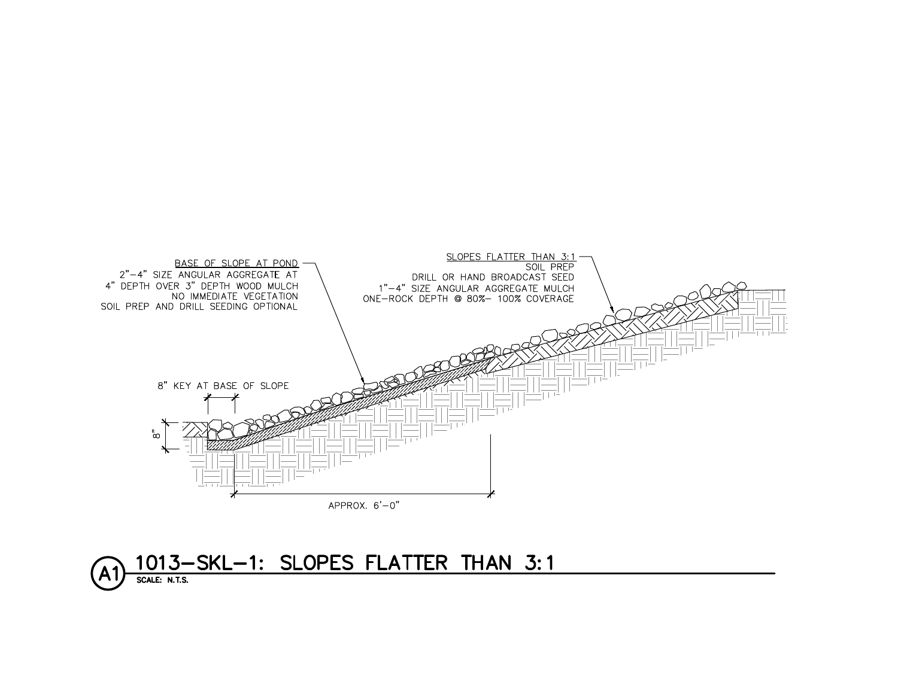

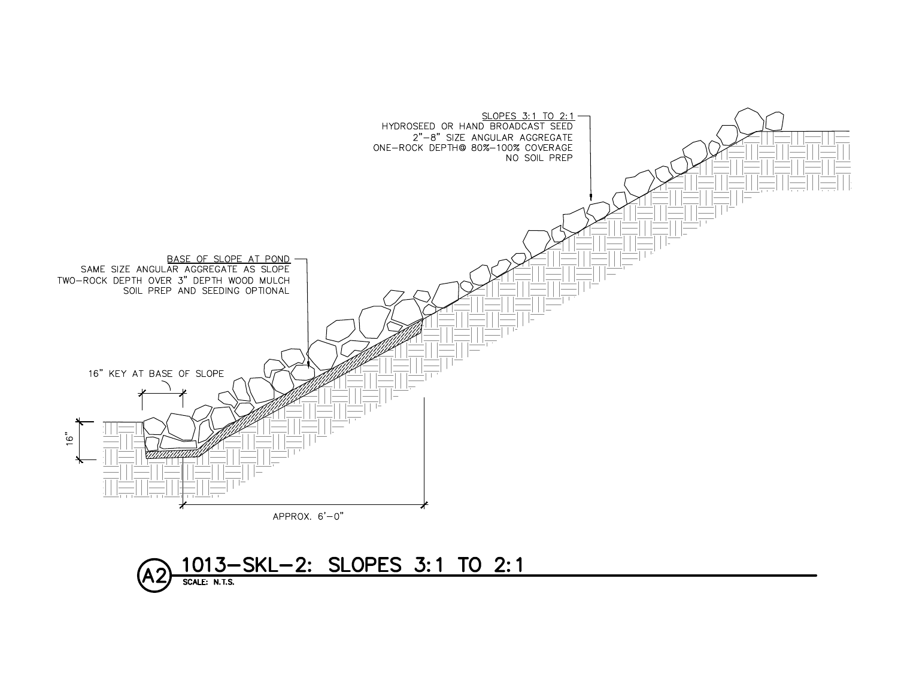

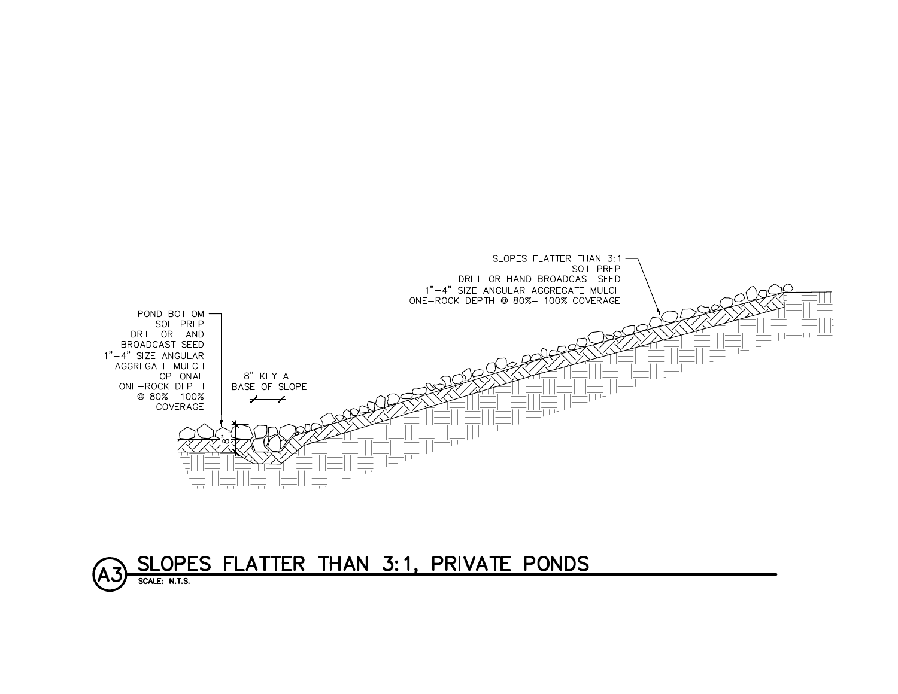